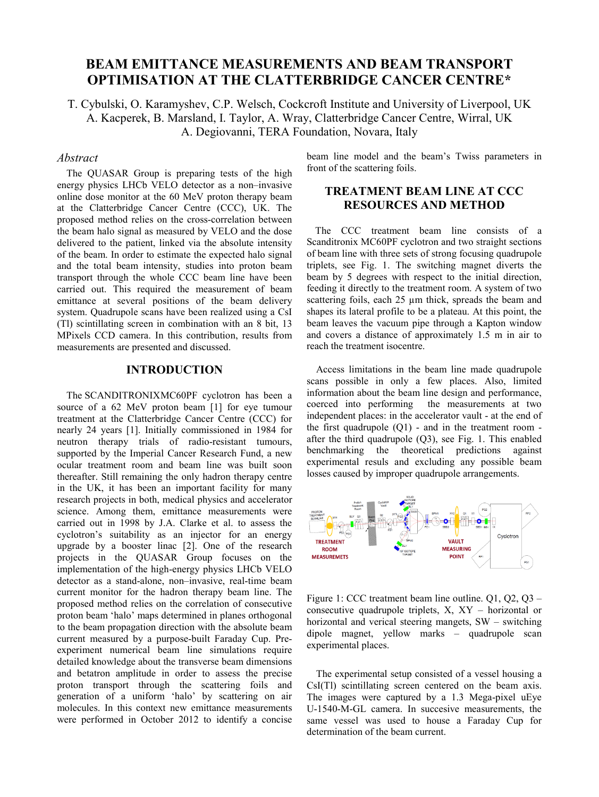# **BEAM EMITTANCE MEASUREMENTS AND BEAM TRANSPORT OPTIMISATION AT THE CLATTERBRIDGE CANCER CENTRE\***

T. Cybulski, O. Karamyshev, C.P. Welsch, Cockcroft Institute and University of Liverpool, UK A. Kacperek, B. Marsland, I. Taylor, A. Wray, Clatterbridge Cancer Centre, Wirral, UK A. Degiovanni, TERA Foundation, Novara, Italy

#### *Abstract*

 The QUASAR Group is preparing tests of the high energy physics LHCb VELO detector as a non–invasive online dose monitor at the 60 MeV proton therapy beam at the Clatterbridge Cancer Centre (CCC), UK. The proposed method relies on the cross-correlation between the beam halo signal as measured by VELO and the dose delivered to the patient, linked via the absolute intensity of the beam. In order to estimate the expected halo signal and the total beam intensity, studies into proton beam transport through the whole CCC beam line have been carried out. This required the measurement of beam emittance at several positions of the beam delivery system. Quadrupole scans have been realized using a CsI (Tl) scintillating screen in combination with an 8 bit, 13 MPixels CCD camera. In this contribution, results from measurements are presented and discussed.

#### **INTRODUCTION**

The SCANDITRONIXMC60PF cyclotron has been a source of a 62 MeV proton beam [1] for eye tumour treatment at the Clatterbridge Cancer Centre (CCC) for nearly 24 years [1]. Initially commissioned in 1984 for neutron therapy trials of radio-resistant tumours, supported by the Imperial Cancer Research Fund, a new ocular treatment room and beam line was built soon thereafter. Still remaining the only hadron therapy centre in the UK, it has been an important facility for many research projects in both, medical physics and accelerator science. Among them, emittance measurements were carried out in 1998 by J.A. Clarke et al. to assess the cyclotron's suitability as an injector for an energy upgrade by a booster linac [2]. One of the research projects in the QUASAR Group focuses on the implementation of the high-energy physics LHCb VELO detector as a stand-alone, non–invasive, real-time beam current monitor for the hadron therapy beam line. The proposed method relies on the correlation of consecutive proton beam 'halo' maps determined in planes orthogonal to the beam propagation direction with the absolute beam current measured by a purpose-built Faraday Cup. Preexperiment numerical beam line simulations require detailed knowledge about the transverse beam dimensions and betatron amplitude in order to assess the precise proton transport through the scattering foils and generation of a uniform 'halo' by scattering on air molecules. In this context new emittance measurements were performed in October 2012 to identify a concise

beam line model and the beam's Twiss parameters in front of the scattering foils.

## **TREATMENT BEAM LINE AT CCC RESOURCES AND METHOD**

 The CCC treatment beam line consists of a Scanditronix MC60PF cyclotron and two straight sections of beam line with three sets of strong focusing quadrupole triplets, see Fig. 1. The switching magnet diverts the beam by 5 degrees with respect to the initial direction, feeding it directly to the treatment room. A system of two scattering foils, each 25  $\mu$ m thick, spreads the beam and shapes its lateral profile to be a plateau. At this point, the beam leaves the vacuum pipe through a Kapton window and covers a distance of approximately 1.5 m in air to reach the treatment isocentre.

 Access limitations in the beam line made quadrupole scans possible in only a few places. Also, limited information about the beam line design and performance, coerced into performing the measurements at two independent places: in the accelerator vault - at the end of the first quadrupole  $(Q1)$  - and in the treatment room after the third quadrupole (Q3), see Fig. 1. This enabled benchmarking the theoretical predictions against experimental resuls and excluding any possible beam losses caused by improper quadrupole arrangements.



Figure 1: CCC treatment beam line outline. Q1, Q2, Q3 – consecutive quadrupole triplets, X, XY – horizontal or horizontal and verical steering mangets, SW – switching dipole magnet, yellow marks – quadrupole scan experimental places.

 The experimental setup consisted of a vessel housing a CsI(Tl) scintillating screen centered on the beam axis. The images were captured by a 1.3 Mega-pixel uEye U-1540-M-GL camera. In succesive measurements, the same vessel was used to house a Faraday Cup for determination of the beam current.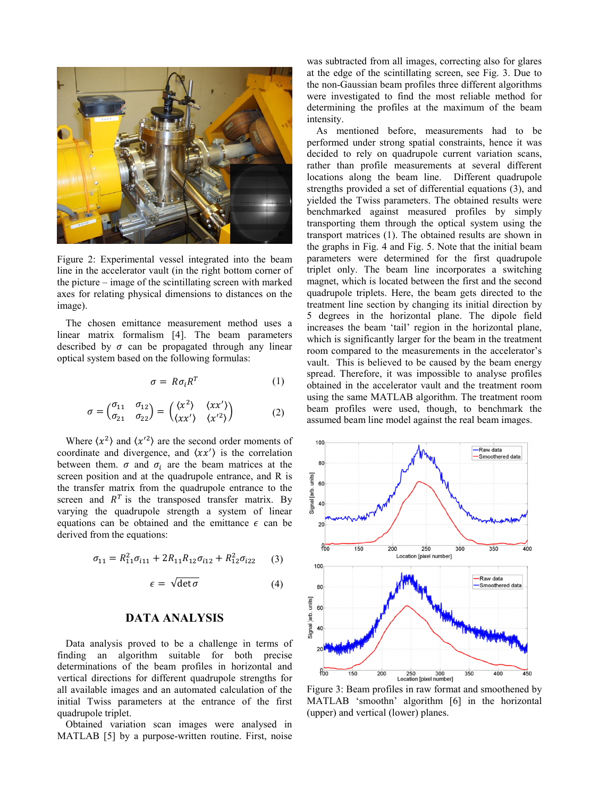

Figure 2: Experimental vessel integrated into the beam line in the accelerator vault (in the right bottom corner of the picture – image of the scintillating screen with marked axes for relating physical dimensions to distances on the image).

 The chosen emittance measurement method uses a linear matrix formalism [4]. The beam parameters described by  $\sigma$  can be propagated through any linear optical system based on the following formulas:

$$
\sigma = R\sigma_i R^T \tag{1}
$$

$$
\sigma = \begin{pmatrix} \sigma_{11} & \sigma_{12} \\ \sigma_{21} & \sigma_{22} \end{pmatrix} = \begin{pmatrix} \langle x^2 \rangle & \langle xx' \rangle \\ \langle xx' \rangle & \langle x'^2 \rangle \end{pmatrix}
$$
 (2)

Where  $\langle x^2 \rangle$  and  $\langle x'^2 \rangle$  are the second order moments of coordinate and divergence, and  $\langle xx' \rangle$  is the correlation between them.  $\sigma$  and  $\sigma_i$  are the beam matrices at the screen position and at the quadrupole entrance, and R is the transfer matrix from the quadrupole entrance to the screen and  $R<sup>T</sup>$  is the transposed transfer matrix. By varying the quadrupole strength a system of linear equations can be obtained and the emittance  $\epsilon$  can be derived from the equations:

$$
\sigma_{11} = R_{11}^2 \sigma_{i11} + 2R_{11}R_{12}\sigma_{i12} + R_{12}^2 \sigma_{i22} \qquad (3)
$$

$$
\epsilon = \sqrt{\det \sigma} \tag{4}
$$

#### **DATA ANALYSIS**

 Data analysis proved to be a challenge in terms of finding an algorithm suitable for both precise determinations of the beam profiles in horizontal and vertical directions for different quadrupole strengths for all available images and an automated calculation of the initial Twiss parameters at the entrance of the first quadrupole triplet.

 Obtained variation scan images were analysed in MATLAB [5] by a purpose-written routine. First, noise was subtracted from all images, correcting also for glares at the edge of the scintillating screen, see Fig. 3. Due to the non-Gaussian beam profiles three different algorithms were investigated to find the most reliable method for determining the profiles at the maximum of the beam intensity.

 As mentioned before, measurements had to be performed under strong spatial constraints, hence it was decided to rely on quadrupole current variation scans, rather than profile measurements at several different locations along the beam line. Different quadrupole strengths provided a set of differential equations (3), and yielded the Twiss parameters. The obtained results were benchmarked against measured profiles by simply transporting them through the optical system using the transport matrices (1). The obtained results are shown in the graphs in Fig. 4 and Fig. 5. Note that the initial beam parameters were determined for the first quadrupole triplet only. The beam line incorporates a switching magnet, which is located between the first and the second quadrupole triplets. Here, the beam gets directed to the treatment line section by changing its initial direction by 5 degrees in the horizontal plane. The dipole field increases the beam 'tail' region in the horizontal plane, which is significantly larger for the beam in the treatment room compared to the measurements in the accelerator's vault. This is believed to be caused by the beam energy spread. Therefore, it was impossible to analyse profiles obtained in the accelerator vault and the treatment room using the same MATLAB algorithm. The treatment room beam profiles were used, though, to benchmark the assumed beam line model against the real beam images.



Figure 3: Beam profiles in raw format and smoothened by MATLAB 'smoothn' algorithm [6] in the horizontal (upper) and vertical (lower) planes.